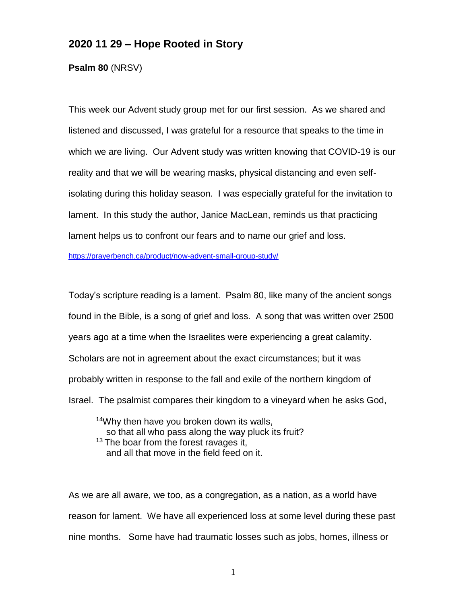## **2020 11 29 – Hope Rooted in Story**

**Psalm 80** (NRSV)

This week our Advent study group met for our first session. As we shared and listened and discussed, I was grateful for a resource that speaks to the time in which we are living. Our Advent study was written knowing that COVID-19 is our reality and that we will be wearing masks, physical distancing and even selfisolating during this holiday season. I was especially grateful for the invitation to lament. In this study the author, Janice MacLean, reminds us that practicing lament helps us to confront our fears and to name our grief and loss.

<https://prayerbench.ca/product/now-advent-small-group-study/>

Today's scripture reading is a lament. Psalm 80, like many of the ancient songs found in the Bible, is a song of grief and loss. A song that was written over 2500 years ago at a time when the Israelites were experiencing a great calamity. Scholars are not in agreement about the exact circumstances; but it was probably written in response to the fall and exile of the northern kingdom of Israel. The psalmist compares their kingdom to a vineyard when he asks God,

<sup>14</sup>Why then have you broken down its walls, so that all who pass along the way pluck its fruit? <sup>13</sup> The boar from the forest ravages it. and all that move in the field feed on it.

As we are all aware, we too, as a congregation, as a nation, as a world have reason for lament. We have all experienced loss at some level during these past nine months. Some have had traumatic losses such as jobs, homes, illness or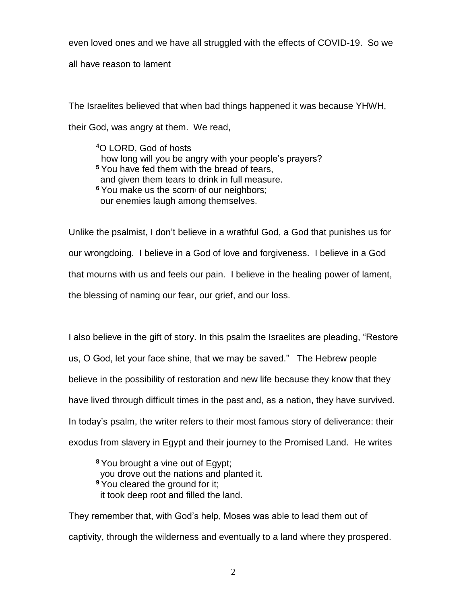even loved ones and we have all struggled with the effects of COVID-19. So we

all have reason to lament

The Israelites believed that when bad things happened it was because YHWH, their God, was angry at them. We read,

<sup>4</sup>O LORD, God of hosts how long will you be angry with your people's prayers? **<sup>5</sup>** You have fed them with the bread of tears, and given them tears to drink in full measure. <sup>6</sup> You make us the scorn of our neighbors; our enemies laugh among themselves.

Unlike the psalmist, I don't believe in a wrathful God, a God that punishes us for our wrongdoing. I believe in a God of love and forgiveness. I believe in a God that mourns with us and feels our pain. I believe in the healing power of lament, the blessing of naming our fear, our grief, and our loss.

I also believe in the gift of story. In this psalm the Israelites are pleading, "Restore us, O God, let your face shine, that we may be saved." The Hebrew people believe in the possibility of restoration and new life because they know that they have lived through difficult times in the past and, as a nation, they have survived. In today's psalm, the writer refers to their most famous story of deliverance: their exodus from slavery in Egypt and their journey to the Promised Land. He writes

**<sup>8</sup>** You brought a vine out of Egypt; you drove out the nations and planted it. **<sup>9</sup>** You cleared the ground for it; it took deep root and filled the land.

They remember that, with God's help, Moses was able to lead them out of captivity, through the wilderness and eventually to a land where they prospered.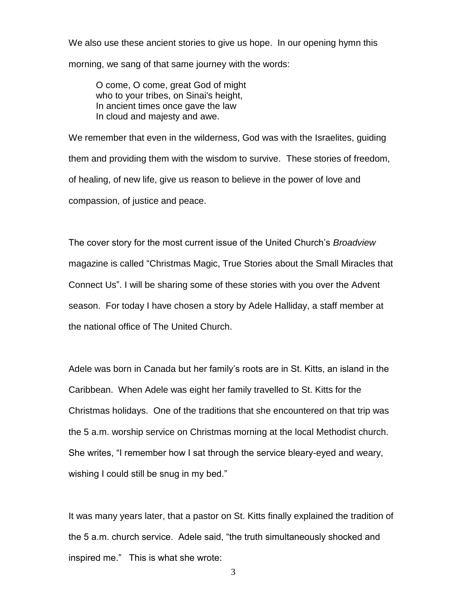We also use these ancient stories to give us hope. In our opening hymn this morning, we sang of that same journey with the words:

O come, O come, great God of might who to your tribes, on Sinai's height, In ancient times once gave the law In cloud and majesty and awe.

We remember that even in the wilderness, God was with the Israelites, guiding them and providing them with the wisdom to survive. These stories of freedom, of healing, of new life, give us reason to believe in the power of love and compassion, of justice and peace.

The cover story for the most current issue of the United Church's *Broadview*  magazine is called "Christmas Magic, True Stories about the Small Miracles that Connect Us". I will be sharing some of these stories with you over the Advent season. For today I have chosen a story by Adele Halliday, a staff member at the national office of The United Church.

Adele was born in Canada but her family's roots are in St. Kitts, an island in the Caribbean. When Adele was eight her family travelled to St. Kitts for the Christmas holidays. One of the traditions that she encountered on that trip was the 5 a.m. worship service on Christmas morning at the local Methodist church. She writes, "I remember how I sat through the service bleary-eyed and weary, wishing I could still be snug in my bed."

It was many years later, that a pastor on St. Kitts finally explained the tradition of the 5 a.m. church service. Adele said, "the truth simultaneously shocked and inspired me." This is what she wrote: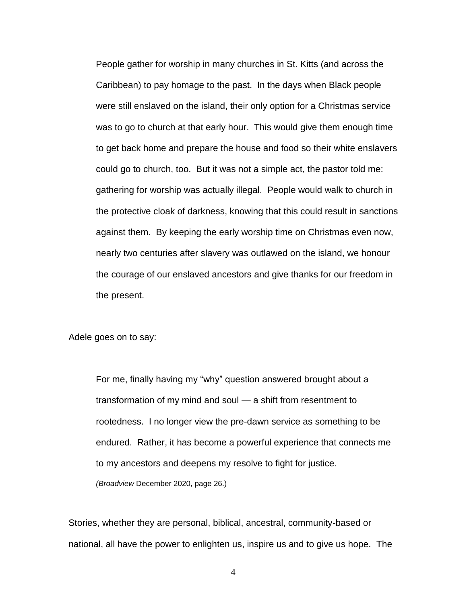People gather for worship in many churches in St. Kitts (and across the Caribbean) to pay homage to the past. In the days when Black people were still enslaved on the island, their only option for a Christmas service was to go to church at that early hour. This would give them enough time to get back home and prepare the house and food so their white enslavers could go to church, too. But it was not a simple act, the pastor told me: gathering for worship was actually illegal. People would walk to church in the protective cloak of darkness, knowing that this could result in sanctions against them. By keeping the early worship time on Christmas even now, nearly two centuries after slavery was outlawed on the island, we honour the courage of our enslaved ancestors and give thanks for our freedom in the present.

Adele goes on to say:

For me, finally having my "why" question answered brought about a transformation of my mind and soul — a shift from resentment to rootedness. I no longer view the pre-dawn service as something to be endured. Rather, it has become a powerful experience that connects me to my ancestors and deepens my resolve to fight for justice. *(Broadview* December 2020, page 26.)

Stories, whether they are personal, biblical, ancestral, community-based or national, all have the power to enlighten us, inspire us and to give us hope. The